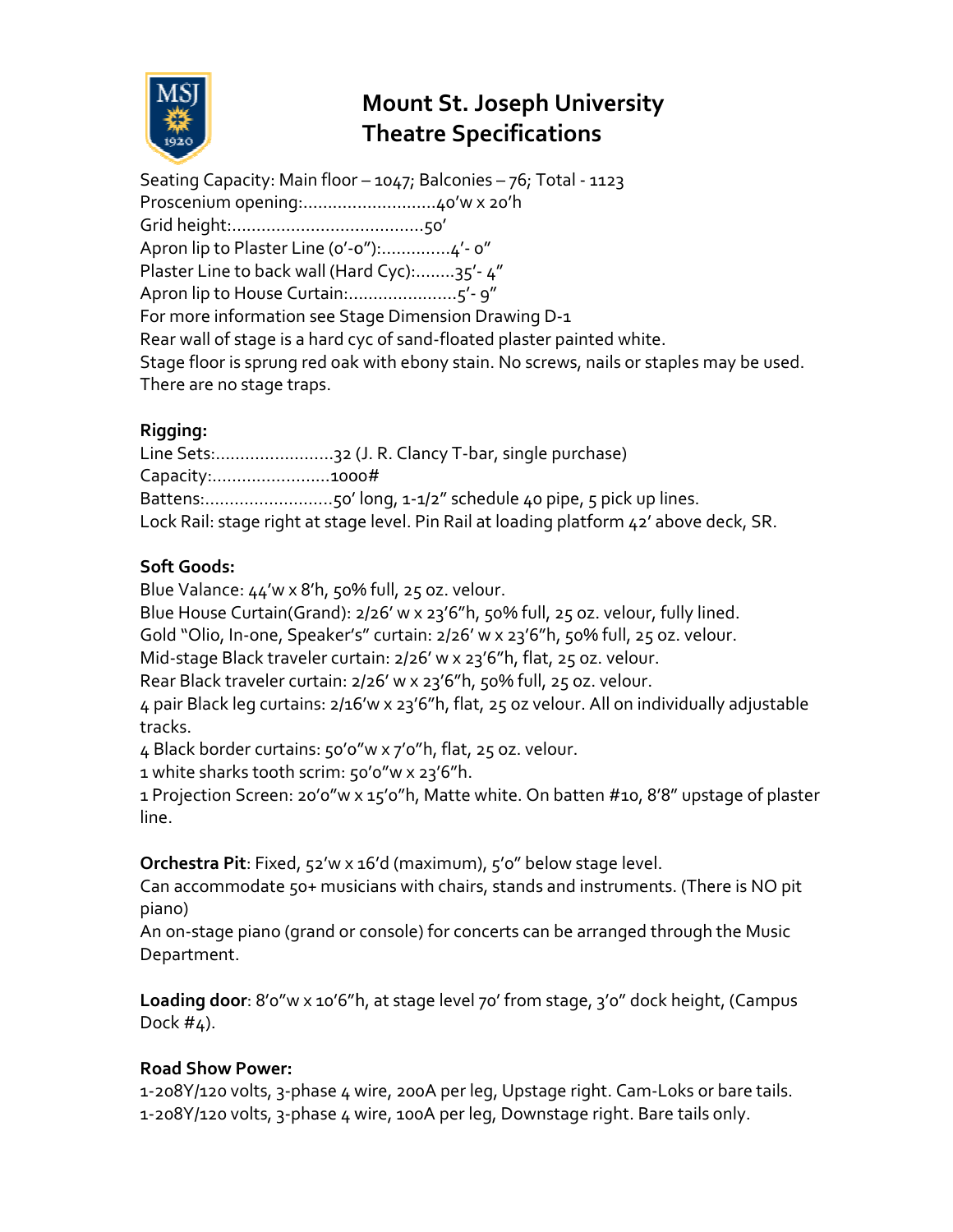

# **Mount St. Joseph University Theatre Specifications**

Seating Capacity: Main floor – 1047; Balconies – 76; Total - 1123 Proscenium opening:……………………… ………………40'w x 20'h Grid height:………………………………... ……………...50' Apron lip to Plaster Line (o'-o"):...............4'- o" Plaster Line to back wall (Hard Cyc):........35'-4" Apron lip to House Curtain:............................5'- 9" For more information see Stage Dimension Drawing D-1 Rear wall of stage is a hard cyc of sand-floated plaster painted white. Stage floor is sprung red oak with ebony stain. No screws, nails or staples may be used. There are no stage traps.

# **Rigging:**

Line Sets:............................32 (J. R. Clancy T-bar, single purchase) Capacity:……………………1000# Capacity:.........................1000#<br>Battens:............................50' long, 1-1/2" schedule 40 pipe, 5 pick up lines. Lock Rail: stage right at stage level. Pin Rail at loading platform 42' above deck, SR. ews, nails or staples may l $\,$ : purchase) $\,$ pipe, 5 pick up lines. $\,$ g platform 42' above deck $\,$ , 25 oz. velour, fully lined.

## **Soft Goods:**

Blue Valance: 44'w x 8'h, 50% full, 25 oz. velour.

Blue House Curtain(Grand): 2/26' w x Blue House 23'6"h, 50% full, 25 oz. velour, fully lined

Gold "Olio, In-one, Speaker's" curtain: 2/26' w x 23'6"h, 50% full, 25 oz. velour.

Mid-stage Black traveler curtain: 2/26' w x 23'6"h, flat, 25 oz. velour.

Rear Black traveler curtain: 2/26' w x 23'6"h, 50% full, 25 oz. velour.

4 pair Black leg curtains: 2/16′w x 23′6″h, flat, 25 oz velour. All on individually adjustable<br>tracks.<br>4 Black border curtains: 50′0″w x 7′0″h, flat, 25 oz. velour. tracks.

4 Black border curtains: 50'0"w x 7'0"h, flat, 25 oz. velour

1 white sharks tooth scrim: 50'0"w x 23'6"h.

1 Projection Screen: 20'0"w x 15'0"h, Matte white. On batten #10, 8'8" upstage of plaster line.

**Orchestra Pit**: Fixed, 52'w x 16'd (maximum), 5'0" below stage level.

Can accommodate 50+ musicians with chairs, stands and instruments. (There is NO pit piano) Can accommodate 50+ musicians with chairs, stands and instruments. (There is NO pi<br>piano)<br>An on-stage piano (grand or console) for concerts can be arranged through the Music

Department.

Loading door: 8'o"w x 10'6"h, at stage level 70' from stage, 3'0" dock height, (Campus Dock  $#<sub>4</sub>$ ).

## **Road Show Power:**

1-208Y/120 volts, 3-phase 4 wire, 200A per leg, Upstage right. phase leg, Upstage right. Cam-Loks or bare tails. 1-208Y/120 volts, 3-phase 4 wire, 200A per leg, Upstage right. Cam-Loks or bare<br>1-208Y/120 volts, 3-phase 4 wire, 100A per leg, Downstage right. Bare tails only.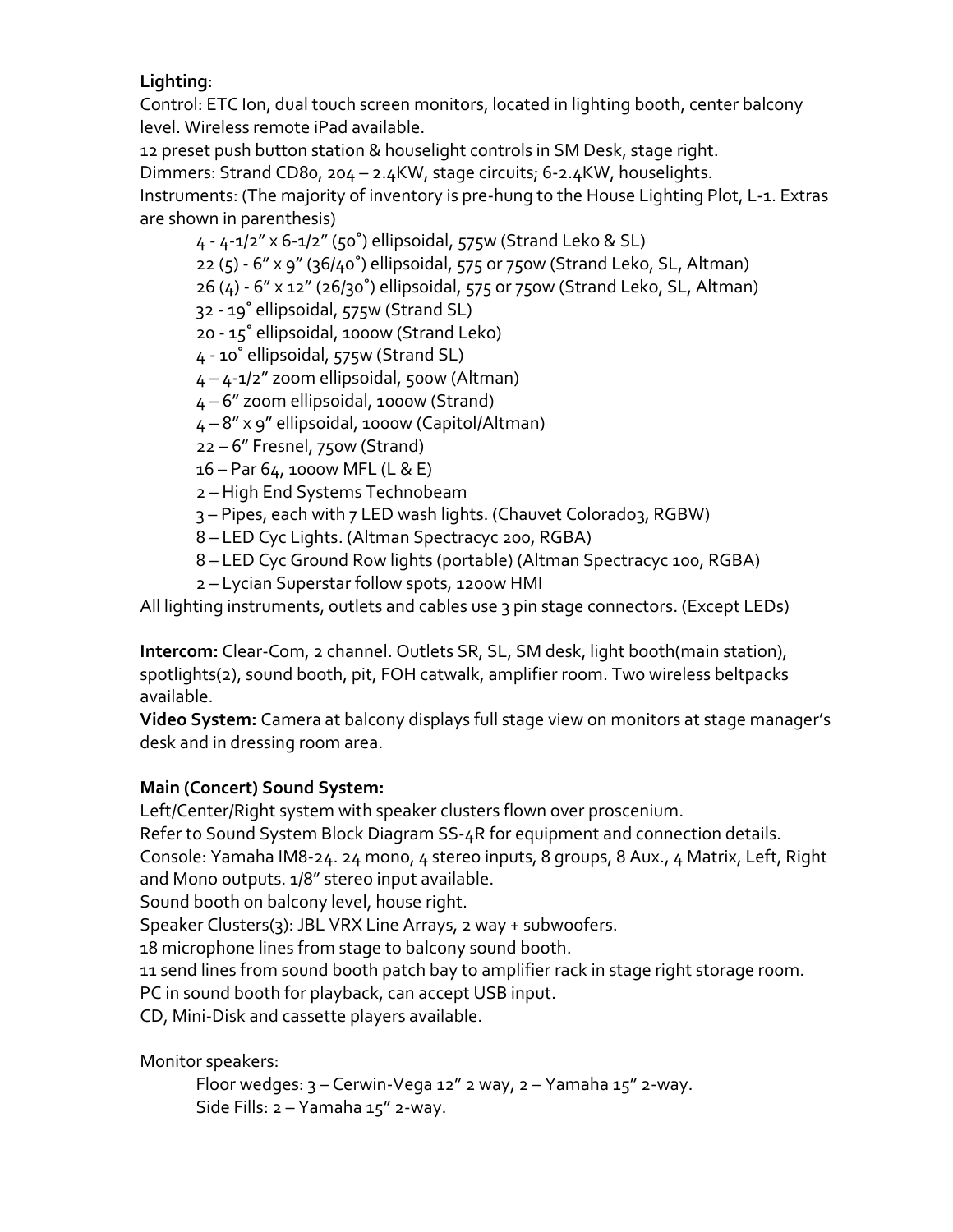#### **Lighting**:

Control: ETC Ion, dual touch screen monitors, located in lighting booth, center balcony level. Wireless remote iPad available.

12 preset push button station & houselight controls in SM Desk, stage right. Dimmers: Strand CD80, 204 – 2.4KW, stage circuits; 6-2.4KW, houselights. Instruments: (The majority of inventory is pre-hung to the House Lighting Plot, L-1. Extras are shown in parenthesis)

4 - 4-1/2" x 6-1/2" (50˚) ellipsoidal, 575w (Strand Leko & SL) 22 (5) - 6" x 9" (36/40˚) ellipsoidal, 575 or 750w (Strand Leko, SL, Altman) 26 (4) - 6" x 12" (26/30˚) ellipsoidal, 575 or 750w (Strand Leko, SL, Altman) 32 - 19˚ ellipsoidal, 575w (Strand SL) 20 - 15˚ ellipsoidal, 1000w (Strand Leko) 4 - 10˚ ellipsoidal, 575w (Strand SL) 4 – 4-1/2" zoom ellipsoidal, 500w (Altman) 4 – 6" zoom ellipsoidal, 1000w (Strand) 4 – 8" x 9" ellipsoidal, 1000w (Capitol/Altman) 22 – 6" Fresnel, 750w (Strand) 16 – Par 64, 1000w MFL (L & E) 2 – High End Systems Technobeam 3 – Pipes, each with 7 LED wash lights. (Chauvet Colorado3, RGBW) 8 – LED Cyc Lights. (Altman Spectracyc 200, RGBA)

8 – LED Cyc Ground Row lights (portable) (Altman Spectracyc 100, RGBA)

2 – Lycian Superstar follow spots, 1200w HMI

All lighting instruments, outlets and cables use 3 pin stage connectors. (Except LEDs)

**Intercom:** Clear-Com, 2 channel. Outlets SR, SL, SM desk, light booth(main station), spotlights(2), sound booth, pit, FOH catwalk, amplifier room. Two wireless beltpacks available.

**Video System:** Camera at balcony displays full stage view on monitors at stage manager's desk and in dressing room area.

## **Main (Concert) Sound System:**

Left/Center/Right system with speaker clusters flown over proscenium.

Refer to Sound System Block Diagram SS-4R for equipment and connection details.

Console: Yamaha IM8-24. 24 mono, 4 stereo inputs, 8 groups, 8 Aux., 4 Matrix, Left, Right and Mono outputs. 1/8" stereo input available.

Sound booth on balcony level, house right.

Speaker Clusters(3): JBL VRX Line Arrays, 2 way + subwoofers.

18 microphone lines from stage to balcony sound booth.

11 send lines from sound booth patch bay to amplifier rack in stage right storage room.

PC in sound booth for playback, can accept USB input.

CD, Mini-Disk and cassette players available.

Monitor speakers:

Floor wedges:  $3$  – Cerwin-Vega 12" 2 way,  $2$  – Yamaha 15" 2-way. Side Fills: 2 – Yamaha 15" 2-way.